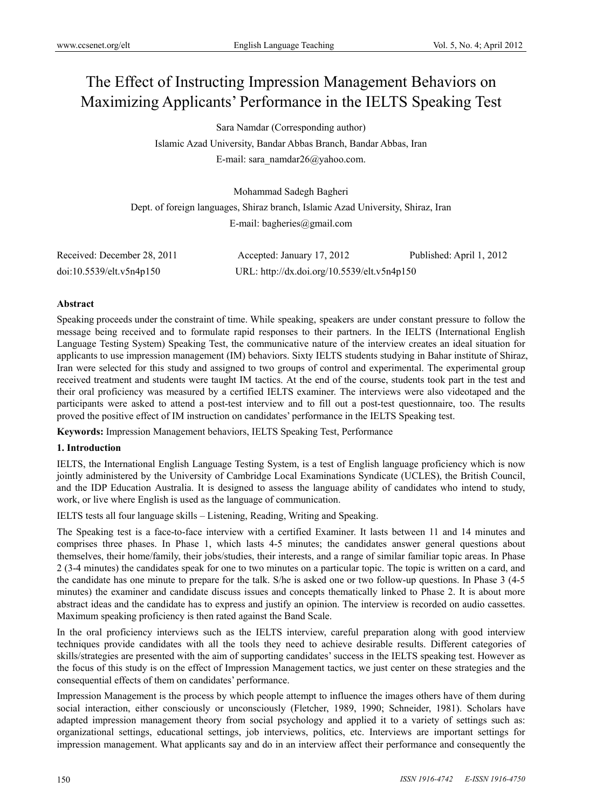# The Effect of Instructing Impression Management Behaviors on Maximizing Applicants' Performance in the IELTS Speaking Test

Sara Namdar (Corresponding author)

Islamic Azad University, Bandar Abbas Branch, Bandar Abbas, Iran E-mail: sara\_namdar26@yahoo.com.

Mohammad Sadegh Bagheri

Dept. of foreign languages, Shiraz branch, Islamic Azad University, Shiraz, Iran E-mail: bagheries@gmail.com

| Received: December 28, 2011 | Accepted: January 17, 2012                  | Published: April 1, 2012 |
|-----------------------------|---------------------------------------------|--------------------------|
| doi:10.5539/elt.v5n4p150    | URL: http://dx.doi.org/10.5539/elt.v5n4p150 |                          |

## **Abstract**

Speaking proceeds under the constraint of time. While speaking, speakers are under constant pressure to follow the message being received and to formulate rapid responses to their partners. In the IELTS (International English Language Testing System) Speaking Test, the communicative nature of the interview creates an ideal situation for applicants to use impression management (IM) behaviors. Sixty IELTS students studying in Bahar institute of Shiraz, Iran were selected for this study and assigned to two groups of control and experimental. The experimental group received treatment and students were taught IM tactics. At the end of the course, students took part in the test and their oral proficiency was measured by a certified IELTS examiner. The interviews were also videotaped and the participants were asked to attend a post-test interview and to fill out a post-test questionnaire, too. The results proved the positive effect of IM instruction on candidates' performance in the IELTS Speaking test.

**Keywords:** Impression Management behaviors, IELTS Speaking Test, Performance

#### **1. Introduction**

IELTS, the International English Language Testing System, is a test of English language proficiency which is now jointly administered by the University of Cambridge Local Examinations Syndicate (UCLES), the British Council, and the IDP Education Australia. It is designed to assess the language ability of candidates who intend to study, work, or live where English is used as the language of communication.

IELTS tests all four language skills – Listening, Reading, Writing and Speaking.

The Speaking test is a face-to-face interview with a certified Examiner. It lasts between 11 and 14 minutes and comprises three phases. In Phase 1, which lasts 4-5 minutes; the candidates answer general questions about themselves, their home/family, their jobs/studies, their interests, and a range of similar familiar topic areas. In Phase 2 (3-4 minutes) the candidates speak for one to two minutes on a particular topic. The topic is written on a card, and the candidate has one minute to prepare for the talk. S/he is asked one or two follow-up questions. In Phase 3 (4-5 minutes) the examiner and candidate discuss issues and concepts thematically linked to Phase 2. It is about more abstract ideas and the candidate has to express and justify an opinion. The interview is recorded on audio cassettes. Maximum speaking proficiency is then rated against the Band Scale.

In the oral proficiency interviews such as the IELTS interview, careful preparation along with good interview techniques provide candidates with all the tools they need to achieve desirable results. Different categories of skills/strategies are presented with the aim of supporting candidates' success in the IELTS speaking test. However as the focus of this study is on the effect of Impression Management tactics, we just center on these strategies and the consequential effects of them on candidates' performance.

Impression Management is the process by which people attempt to influence the images others have of them during social interaction, either consciously or unconsciously (Fletcher, 1989, 1990; Schneider, 1981). Scholars have adapted impression management theory from social psychology and applied it to a variety of settings such as: organizational settings, educational settings, job interviews, politics, etc. Interviews are important settings for impression management. What applicants say and do in an interview affect their performance and consequently the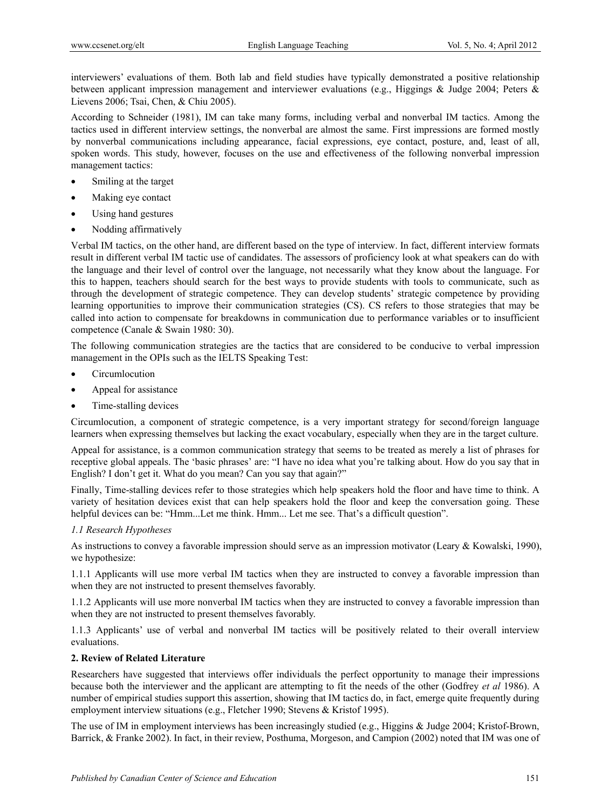interviewers' evaluations of them. Both lab and field studies have typically demonstrated a positive relationship between applicant impression management and interviewer evaluations (e.g., Higgings & Judge 2004; Peters & Lievens 2006; Tsai, Chen, & Chiu 2005).

According to Schneider (1981), IM can take many forms, including verbal and nonverbal IM tactics. Among the tactics used in different interview settings, the nonverbal are almost the same. First impressions are formed mostly by nonverbal communications including appearance, facial expressions, eye contact, posture, and, least of all, spoken words. This study, however, focuses on the use and effectiveness of the following nonverbal impression management tactics:

- Smiling at the target
- Making eye contact
- Using hand gestures
- Nodding affirmatively

Verbal IM tactics, on the other hand, are different based on the type of interview. In fact, different interview formats result in different verbal IM tactic use of candidates. The assessors of proficiency look at what speakers can do with the language and their level of control over the language, not necessarily what they know about the language. For this to happen, teachers should search for the best ways to provide students with tools to communicate, such as through the development of strategic competence. They can develop students' strategic competence by providing learning opportunities to improve their communication strategies (CS). CS refers to those strategies that may be called into action to compensate for breakdowns in communication due to performance variables or to insufficient competence (Canale & Swain 1980: 30).

The following communication strategies are the tactics that are considered to be conducive to verbal impression management in the OPIs such as the IELTS Speaking Test:

- Circumlocution
- Appeal for assistance
- Time-stalling devices

Circumlocution, a component of strategic competence, is a very important strategy for second/foreign language learners when expressing themselves but lacking the exact vocabulary, especially when they are in the target culture.

Appeal for assistance, is a common communication strategy that seems to be treated as merely a list of phrases for receptive global appeals. The 'basic phrases' are: "I have no idea what you're talking about. How do you say that in English? I don't get it. What do you mean? Can you say that again?"

Finally, Time-stalling devices refer to those strategies which help speakers hold the floor and have time to think. A variety of hesitation devices exist that can help speakers hold the floor and keep the conversation going. These helpful devices can be: "Hmm...Let me think. Hmm... Let me see. That's a difficult question".

## *1.1 Research Hypotheses*

As instructions to convey a favorable impression should serve as an impression motivator (Leary & Kowalski, 1990), we hypothesize:

1.1.1 Applicants will use more verbal IM tactics when they are instructed to convey a favorable impression than when they are not instructed to present themselves favorably.

1.1.2 Applicants will use more nonverbal IM tactics when they are instructed to convey a favorable impression than when they are not instructed to present themselves favorably.

1.1.3 Applicants' use of verbal and nonverbal IM tactics will be positively related to their overall interview evaluations.

#### **2. Review of Related Literature**

Researchers have suggested that interviews offer individuals the perfect opportunity to manage their impressions because both the interviewer and the applicant are attempting to fit the needs of the other (Godfrey *et al* 1986). A number of empirical studies support this assertion, showing that IM tactics do, in fact, emerge quite frequently during employment interview situations (e.g., Fletcher 1990; Stevens & Kristof 1995).

The use of IM in employment interviews has been increasingly studied (e.g., Higgins & Judge 2004; Kristof-Brown, Barrick, & Franke 2002). In fact, in their review, Posthuma, Morgeson, and Campion (2002) noted that IM was one of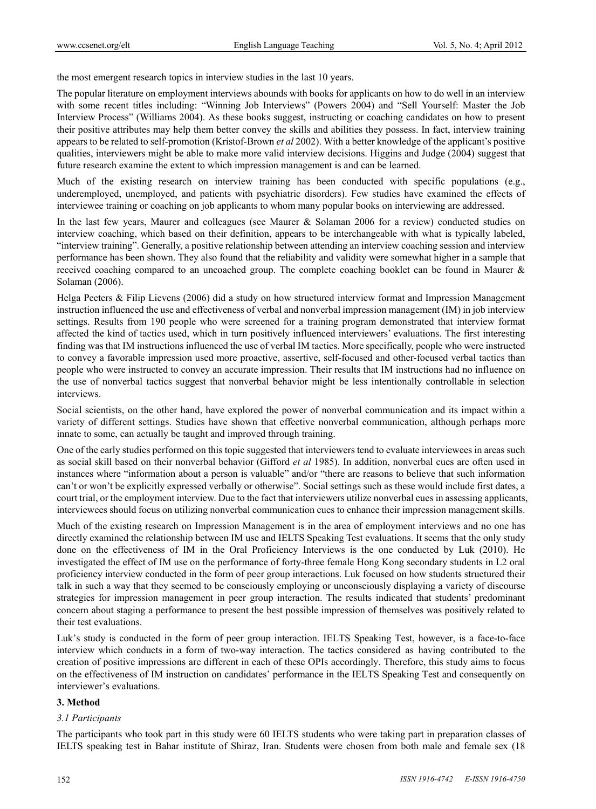the most emergent research topics in interview studies in the last 10 years.

The popular literature on employment interviews abounds with books for applicants on how to do well in an interview with some recent titles including: "Winning Job Interviews" (Powers 2004) and "Sell Yourself: Master the Job Interview Process" (Williams 2004). As these books suggest, instructing or coaching candidates on how to present their positive attributes may help them better convey the skills and abilities they possess. In fact, interview training appears to be related to self-promotion (Kristof-Brown *et al* 2002). With a better knowledge of the applicant's positive qualities, interviewers might be able to make more valid interview decisions. Higgins and Judge (2004) suggest that future research examine the extent to which impression management is and can be learned.

Much of the existing research on interview training has been conducted with specific populations (e.g., underemployed, unemployed, and patients with psychiatric disorders). Few studies have examined the effects of interviewee training or coaching on job applicants to whom many popular books on interviewing are addressed.

In the last few years, Maurer and colleagues (see Maurer & Solaman 2006 for a review) conducted studies on interview coaching, which based on their definition, appears to be interchangeable with what is typically labeled, "interview training". Generally, a positive relationship between attending an interview coaching session and interview performance has been shown. They also found that the reliability and validity were somewhat higher in a sample that received coaching compared to an uncoached group. The complete coaching booklet can be found in Maurer & Solaman (2006).

Helga Peeters & Filip Lievens (2006) did a study on how structured interview format and Impression Management instruction influenced the use and effectiveness of verbal and nonverbal impression management (IM) in job interview settings. Results from 190 people who were screened for a training program demonstrated that interview format affected the kind of tactics used, which in turn positively influenced interviewers' evaluations. The first interesting finding was that IM instructions influenced the use of verbal IM tactics. More specifically, people who were instructed to convey a favorable impression used more proactive, assertive, self-focused and other-focused verbal tactics than people who were instructed to convey an accurate impression. Their results that IM instructions had no influence on the use of nonverbal tactics suggest that nonverbal behavior might be less intentionally controllable in selection interviews.

Social scientists, on the other hand, have explored the power of nonverbal communication and its impact within a variety of different settings. Studies have shown that effective nonverbal communication, although perhaps more innate to some, can actually be taught and improved through training.

One of the early studies performed on this topic suggested that interviewers tend to evaluate interviewees in areas such as social skill based on their nonverbal behavior (Gifford *et al* 1985). In addition, nonverbal cues are often used in instances where "information about a person is valuable" and/or "there are reasons to believe that such information can't or won't be explicitly expressed verbally or otherwise". Social settings such as these would include first dates, a court trial, or the employment interview. Due to the fact that interviewers utilize nonverbal cues in assessing applicants, interviewees should focus on utilizing nonverbal communication cues to enhance their impression management skills.

Much of the existing research on Impression Management is in the area of employment interviews and no one has directly examined the relationship between IM use and IELTS Speaking Test evaluations. It seems that the only study done on the effectiveness of IM in the Oral Proficiency Interviews is the one conducted by Luk (2010). He investigated the effect of IM use on the performance of forty-three female Hong Kong secondary students in L2 oral proficiency interview conducted in the form of peer group interactions. Luk focused on how students structured their talk in such a way that they seemed to be consciously employing or unconsciously displaying a variety of discourse strategies for impression management in peer group interaction. The results indicated that students' predominant concern about staging a performance to present the best possible impression of themselves was positively related to their test evaluations.

Luk's study is conducted in the form of peer group interaction. IELTS Speaking Test, however, is a face-to-face interview which conducts in a form of two-way interaction. The tactics considered as having contributed to the creation of positive impressions are different in each of these OPIs accordingly. Therefore, this study aims to focus on the effectiveness of IM instruction on candidates' performance in the IELTS Speaking Test and consequently on interviewer's evaluations.

#### **3. Method**

#### *3.1 Participants*

The participants who took part in this study were 60 IELTS students who were taking part in preparation classes of IELTS speaking test in Bahar institute of Shiraz, Iran. Students were chosen from both male and female sex (18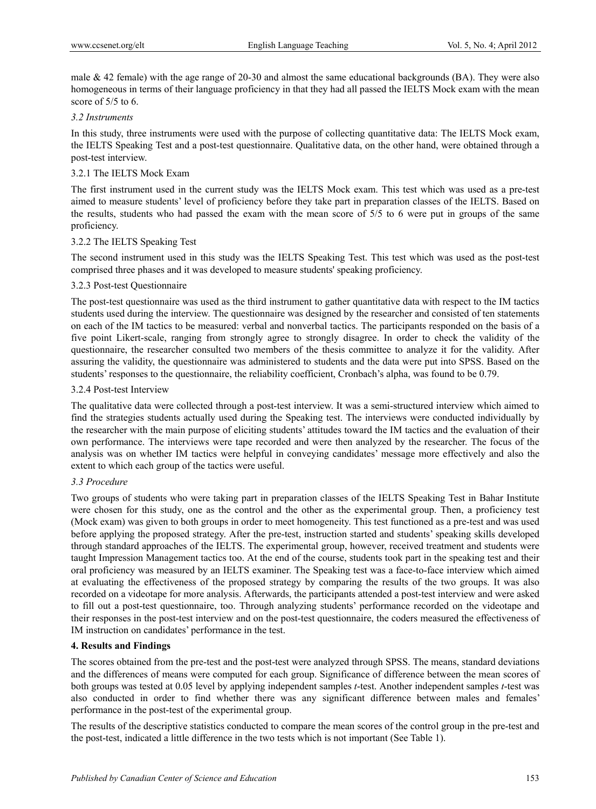male  $\&$  42 female) with the age range of 20-30 and almost the same educational backgrounds (BA). They were also homogeneous in terms of their language proficiency in that they had all passed the IELTS Mock exam with the mean score of 5/5 to 6.

#### *3.2 Instruments*

In this study, three instruments were used with the purpose of collecting quantitative data: The IELTS Mock exam, the IELTS Speaking Test and a post-test questionnaire. Qualitative data, on the other hand, were obtained through a post-test interview.

#### 3.2.1 The IELTS Mock Exam

The first instrument used in the current study was the IELTS Mock exam. This test which was used as a pre-test aimed to measure students' level of proficiency before they take part in preparation classes of the IELTS. Based on the results, students who had passed the exam with the mean score of 5/5 to 6 were put in groups of the same proficiency.

#### 3.2.2 The IELTS Speaking Test

The second instrument used in this study was the IELTS Speaking Test. This test which was used as the post-test comprised three phases and it was developed to measure students' speaking proficiency.

#### 3.2.3 Post-test Questionnaire

The post-test questionnaire was used as the third instrument to gather quantitative data with respect to the IM tactics students used during the interview. The questionnaire was designed by the researcher and consisted of ten statements on each of the IM tactics to be measured: verbal and nonverbal tactics. The participants responded on the basis of a five point Likert-scale, ranging from strongly agree to strongly disagree. In order to check the validity of the questionnaire, the researcher consulted two members of the thesis committee to analyze it for the validity. After assuring the validity, the questionnaire was administered to students and the data were put into SPSS. Based on the students' responses to the questionnaire, the reliability coefficient, Cronbach's alpha, was found to be 0.79.

#### 3.2.4 Post-test Interview

The qualitative data were collected through a post-test interview. It was a semi-structured interview which aimed to find the strategies students actually used during the Speaking test. The interviews were conducted individually by the researcher with the main purpose of eliciting students' attitudes toward the IM tactics and the evaluation of their own performance. The interviews were tape recorded and were then analyzed by the researcher. The focus of the analysis was on whether IM tactics were helpful in conveying candidates' message more effectively and also the extent to which each group of the tactics were useful.

#### *3.3 Procedure*

Two groups of students who were taking part in preparation classes of the IELTS Speaking Test in Bahar Institute were chosen for this study, one as the control and the other as the experimental group. Then, a proficiency test (Mock exam) was given to both groups in order to meet homogeneity. This test functioned as a pre-test and was used before applying the proposed strategy. After the pre-test, instruction started and students' speaking skills developed through standard approaches of the IELTS. The experimental group, however, received treatment and students were taught Impression Management tactics too. At the end of the course, students took part in the speaking test and their oral proficiency was measured by an IELTS examiner. The Speaking test was a face-to-face interview which aimed at evaluating the effectiveness of the proposed strategy by comparing the results of the two groups. It was also recorded on a videotape for more analysis. Afterwards, the participants attended a post-test interview and were asked to fill out a post-test questionnaire, too. Through analyzing students' performance recorded on the videotape and their responses in the post-test interview and on the post-test questionnaire, the coders measured the effectiveness of IM instruction on candidates' performance in the test.

#### **4. Results and Findings**

The scores obtained from the pre-test and the post-test were analyzed through SPSS. The means, standard deviations and the differences of means were computed for each group. Significance of difference between the mean scores of both groups was tested at 0.05 level by applying independent samples *t*-test. Another independent samples *t*-test was also conducted in order to find whether there was any significant difference between males and females' performance in the post-test of the experimental group.

The results of the descriptive statistics conducted to compare the mean scores of the control group in the pre-test and the post-test, indicated a little difference in the two tests which is not important (See Table 1).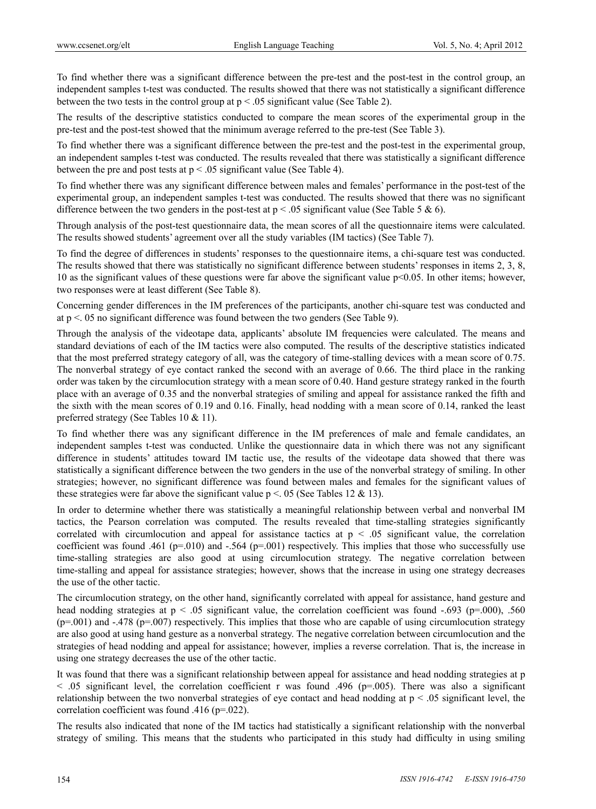To find whether there was a significant difference between the pre-test and the post-test in the control group, an independent samples t-test was conducted. The results showed that there was not statistically a significant difference between the two tests in the control group at  $p < .05$  significant value (See Table 2).

The results of the descriptive statistics conducted to compare the mean scores of the experimental group in the pre-test and the post-test showed that the minimum average referred to the pre-test (See Table 3).

To find whether there was a significant difference between the pre-test and the post-test in the experimental group, an independent samples t-test was conducted. The results revealed that there was statistically a significant difference between the pre and post tests at  $p < .05$  significant value (See Table 4).

To find whether there was any significant difference between males and females' performance in the post-test of the experimental group, an independent samples t-test was conducted. The results showed that there was no significant difference between the two genders in the post-test at  $p < .05$  significant value (See Table 5 & 6).

Through analysis of the post-test questionnaire data, the mean scores of all the questionnaire items were calculated. The results showed students' agreement over all the study variables (IM tactics) (See Table 7).

To find the degree of differences in students' responses to the questionnaire items, a chi-square test was conducted. The results showed that there was statistically no significant difference between students' responses in items 2, 3, 8, 10 as the significant values of these questions were far above the significant value  $p<0.05$ . In other items; however, two responses were at least different (See Table 8).

Concerning gender differences in the IM preferences of the participants, another chi-square test was conducted and at  $p < 05$  no significant difference was found between the two genders (See Table 9).

Through the analysis of the videotape data, applicants' absolute IM frequencies were calculated. The means and standard deviations of each of the IM tactics were also computed. The results of the descriptive statistics indicated that the most preferred strategy category of all, was the category of time-stalling devices with a mean score of 0.75. The nonverbal strategy of eye contact ranked the second with an average of 0.66. The third place in the ranking order was taken by the circumlocution strategy with a mean score of 0.40. Hand gesture strategy ranked in the fourth place with an average of 0.35 and the nonverbal strategies of smiling and appeal for assistance ranked the fifth and the sixth with the mean scores of 0.19 and 0.16. Finally, head nodding with a mean score of 0.14, ranked the least preferred strategy (See Tables 10 & 11).

To find whether there was any significant difference in the IM preferences of male and female candidates, an independent samples t-test was conducted. Unlike the questionnaire data in which there was not any significant difference in students' attitudes toward IM tactic use, the results of the videotape data showed that there was statistically a significant difference between the two genders in the use of the nonverbal strategy of smiling. In other strategies; however, no significant difference was found between males and females for the significant values of these strategies were far above the significant value  $p < 0.05$  (See Tables 12 & 13).

In order to determine whether there was statistically a meaningful relationship between verbal and nonverbal IM tactics, the Pearson correlation was computed. The results revealed that time-stalling strategies significantly correlated with circumlocution and appeal for assistance tactics at  $p \leq .05$  significant value, the correlation coefficient was found .461 (p=.010) and -.564 (p=.001) respectively. This implies that those who successfully use time-stalling strategies are also good at using circumlocution strategy. The negative correlation between time-stalling and appeal for assistance strategies; however, shows that the increase in using one strategy decreases the use of the other tactic.

The circumlocution strategy, on the other hand, significantly correlated with appeal for assistance, hand gesture and head nodding strategies at  $p < .05$  significant value, the correlation coefficient was found  $-.693$  (p=.000), .560  $(p=0.001)$  and  $-478$  ( $p=0.007$ ) respectively. This implies that those who are capable of using circumlocution strategy are also good at using hand gesture as a nonverbal strategy. The negative correlation between circumlocution and the strategies of head nodding and appeal for assistance; however, implies a reverse correlation. That is, the increase in using one strategy decreases the use of the other tactic.

It was found that there was a significant relationship between appeal for assistance and head nodding strategies at p  $\leq$  .05 significant level, the correlation coefficient r was found .496 (p=.005). There was also a significant relationship between the two nonverbal strategies of eye contact and head nodding at  $p < .05$  significant level, the correlation coefficient was found .416 (p=.022).

The results also indicated that none of the IM tactics had statistically a significant relationship with the nonverbal strategy of smiling. This means that the students who participated in this study had difficulty in using smiling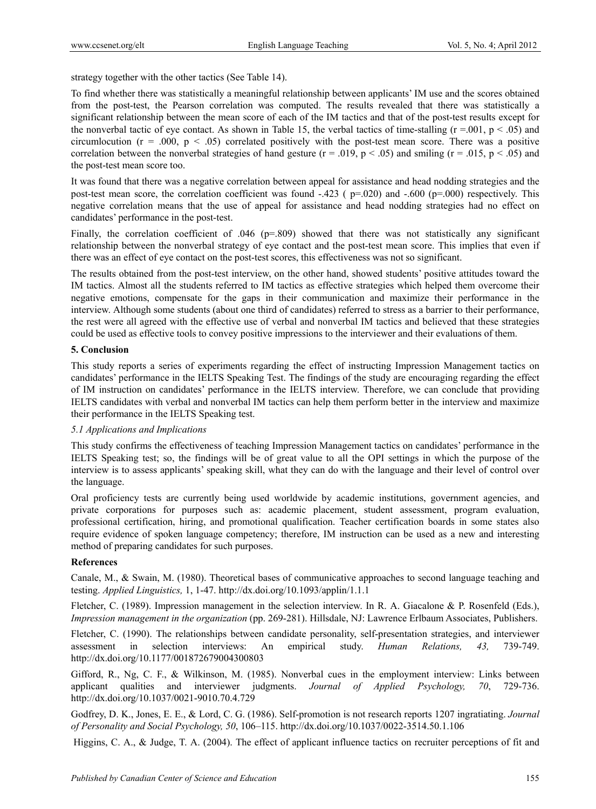strategy together with the other tactics (See Table 14).

To find whether there was statistically a meaningful relationship between applicants' IM use and the scores obtained from the post-test, the Pearson correlation was computed. The results revealed that there was statistically a significant relationship between the mean score of each of the IM tactics and that of the post-test results except for the nonverbal tactic of eye contact. As shown in Table 15, the verbal tactics of time-stalling ( $r = .001$ ,  $p < .05$ ) and circumlocution ( $r = .000$ ,  $p < .05$ ) correlated positively with the post-test mean score. There was a positive correlation between the nonverbal strategies of hand gesture ( $r = .019$ ,  $p < .05$ ) and smiling ( $r = .015$ ,  $p < .05$ ) and the post-test mean score too.

It was found that there was a negative correlation between appeal for assistance and head nodding strategies and the post-test mean score, the correlation coefficient was found  $-.423$  ( $p=.020$ ) and  $-.600$  ( $p=.000$ ) respectively. This negative correlation means that the use of appeal for assistance and head nodding strategies had no effect on candidates' performance in the post-test.

Finally, the correlation coefficient of .046 (p=.809) showed that there was not statistically any significant relationship between the nonverbal strategy of eye contact and the post-test mean score. This implies that even if there was an effect of eye contact on the post-test scores, this effectiveness was not so significant.

The results obtained from the post-test interview, on the other hand, showed students' positive attitudes toward the IM tactics. Almost all the students referred to IM tactics as effective strategies which helped them overcome their negative emotions, compensate for the gaps in their communication and maximize their performance in the interview. Although some students (about one third of candidates) referred to stress as a barrier to their performance, the rest were all agreed with the effective use of verbal and nonverbal IM tactics and believed that these strategies could be used as effective tools to convey positive impressions to the interviewer and their evaluations of them.

#### **5. Conclusion**

This study reports a series of experiments regarding the effect of instructing Impression Management tactics on candidates' performance in the IELTS Speaking Test. The findings of the study are encouraging regarding the effect of IM instruction on candidates' performance in the IELTS interview. Therefore, we can conclude that providing IELTS candidates with verbal and nonverbal IM tactics can help them perform better in the interview and maximize their performance in the IELTS Speaking test.

#### *5.1 Applications and Implications*

This study confirms the effectiveness of teaching Impression Management tactics on candidates' performance in the IELTS Speaking test; so, the findings will be of great value to all the OPI settings in which the purpose of the interview is to assess applicants' speaking skill, what they can do with the language and their level of control over the language.

Oral proficiency tests are currently being used worldwide by academic institutions, government agencies, and private corporations for purposes such as: academic placement, student assessment, program evaluation, professional certification, hiring, and promotional qualification. Teacher certification boards in some states also require evidence of spoken language competency; therefore, IM instruction can be used as a new and interesting method of preparing candidates for such purposes.

### **References**

Canale, M., & Swain, M. (1980). Theoretical bases of communicative approaches to second language teaching and testing. *Applied Linguistics,* 1, 1-47. http://dx.doi.org/10.1093/applin/1.1.1

Fletcher, C. (1989). Impression management in the selection interview. In R. A. Giacalone & P. Rosenfeld (Eds.), *Impression management in the organization* (pp. 269-281). Hillsdale, NJ: Lawrence Erlbaum Associates, Publishers.

Fletcher, C. (1990). The relationships between candidate personality, self-presentation strategies, and interviewer assessment in selection interviews: An empirical study. *Human Relations, 43,* 739-749. http://dx.doi.org/10.1177/001872679004300803

Gifford, R., Ng, C. F., & Wilkinson, M. (1985). Nonverbal cues in the employment interview: Links between applicant qualities and interviewer judgments. *Journal of Applied Psychology, 70*, 729-736. http://dx.doi.org/10.1037/0021-9010.70.4.729

Godfrey, D. K., Jones, E. E., & Lord, C. G. (1986). Self-promotion is not research reports 1207 ingratiating. *Journal of Personality and Social Psychology, 50*, 106–115. http://dx.doi.org/10.1037/0022-3514.50.1.106

Higgins, C. A., & Judge, T. A. (2004). The effect of applicant influence tactics on recruiter perceptions of fit and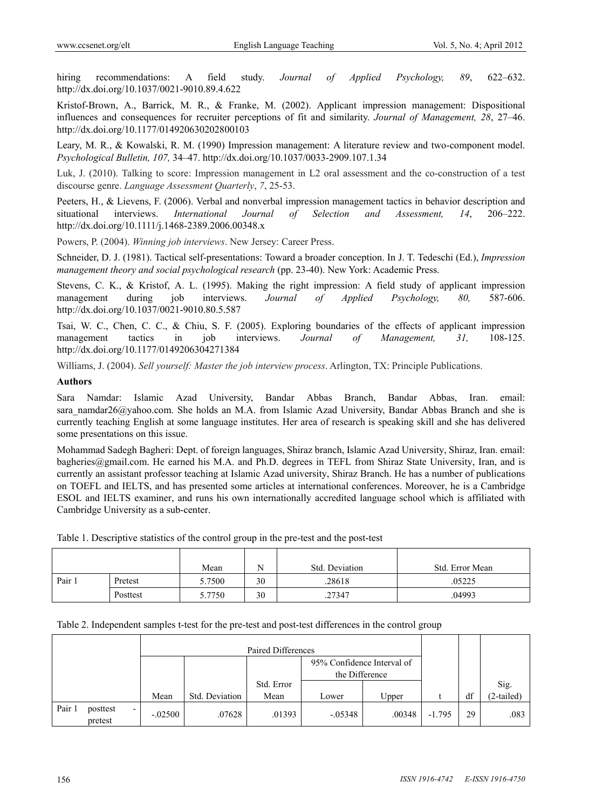hiring recommendations: A field study. *Journal of Applied Psychology, 89*, 622–632. http://dx.doi.org/10.1037/0021-9010.89.4.622

Kristof-Brown, A., Barrick, M. R., & Franke, M. (2002). Applicant impression management: Dispositional influences and consequences for recruiter perceptions of fit and similarity. *Journal of Management, 28*, 27–46. http://dx.doi.org/10.1177/014920630202800103

Leary, M. R., & Kowalski, R. M. (1990) Impression management: A literature review and two-component model. *Psychological Bulletin, 107,* 34–47. http://dx.doi.org/10.1037/0033-2909.107.1.34

Luk, J. (2010). Talking to score: Impression management in L2 oral assessment and the co-construction of a test discourse genre. *Language Assessment Quarterly*, *7*, 25-53.

Peeters, H., & Lievens, F. (2006). Verbal and nonverbal impression management tactics in behavior description and situational interviews. *International Journal of Selection and Assessment, 14*, 206–222. http://dx.doi.org/10.1111/j.1468-2389.2006.00348.x

Powers, P. (2004). *Winning job interviews*. New Jersey: Career Press.

Schneider, D. J. (1981). Tactical self-presentations: Toward a broader conception. In J. T. Tedeschi (Ed.), *Impression management theory and social psychological research* (pp. 23-40). New York: Academic Press.

Stevens, C. K., & Kristof, A. L. (1995). Making the right impression: A field study of applicant impression management during job interviews. *Journal of Applied Psychology, 80,* 587-606. http://dx.doi.org/10.1037/0021-9010.80.5.587

Tsai, W. C., Chen, C. C., & Chiu, S. F. (2005). Exploring boundaries of the effects of applicant impression management tactics in job interviews. *Journal of Management, 31,* 108-125. http://dx.doi.org/10.1177/0149206304271384

Williams, J. (2004). *Sell yourself: Master the job interview process*. Arlington, TX: Principle Publications.

#### **Authors**

Sara Namdar: Islamic Azad University, Bandar Abbas Branch, Bandar Abbas, Iran. email: sara namdar26@yahoo.com. She holds an M.A. from Islamic Azad University, Bandar Abbas Branch and she is currently teaching English at some language institutes. Her area of research is speaking skill and she has delivered some presentations on this issue.

Mohammad Sadegh Bagheri: Dept. of foreign languages, Shiraz branch, Islamic Azad University, Shiraz, Iran. email: bagheries@gmail.com. He earned his M.A. and Ph.D. degrees in TEFL from Shiraz State University, Iran, and is currently an assistant professor teaching at Islamic Azad university, Shiraz Branch. He has a number of publications on TOEFL and IELTS, and has presented some articles at international conferences. Moreover, he is a Cambridge ESOL and IELTS examiner, and runs his own internationally accredited language school which is affiliated with Cambridge University as a sub-center.

Table 1. Descriptive statistics of the control group in the pre-test and the post-test

|        |          | Mean   | N  | Std. Deviation | Std. Error Mean |
|--------|----------|--------|----|----------------|-----------------|
| Pair i | Pretest  | 5.7500 | 30 | .28618         | 05225           |
|        | Posttest | 5.7750 | 30 | .27347         | .04993          |

|  | Table 2. Independent samples t-test for the pre-test and post-test differences in the control group |  |  |
|--|-----------------------------------------------------------------------------------------------------|--|--|
|  |                                                                                                     |  |  |

|                                                           |           |                | Paired Differences |                            |        |          |    |            |
|-----------------------------------------------------------|-----------|----------------|--------------------|----------------------------|--------|----------|----|------------|
|                                                           |           |                |                    | 95% Confidence Interval of |        |          |    |            |
|                                                           |           |                |                    | the Difference             |        |          |    |            |
|                                                           |           |                | Std. Error         |                            |        |          |    | Sig.       |
|                                                           | Mean      | Std. Deviation | Mean               | Lower                      | Upper  |          | df | (2-tailed) |
| Pair 1<br>posttest<br>$\overline{\phantom{0}}$<br>pretest | $-.02500$ | .07628         | .01393             | $-.05348$                  | .00348 | $-1.795$ | 29 | .083       |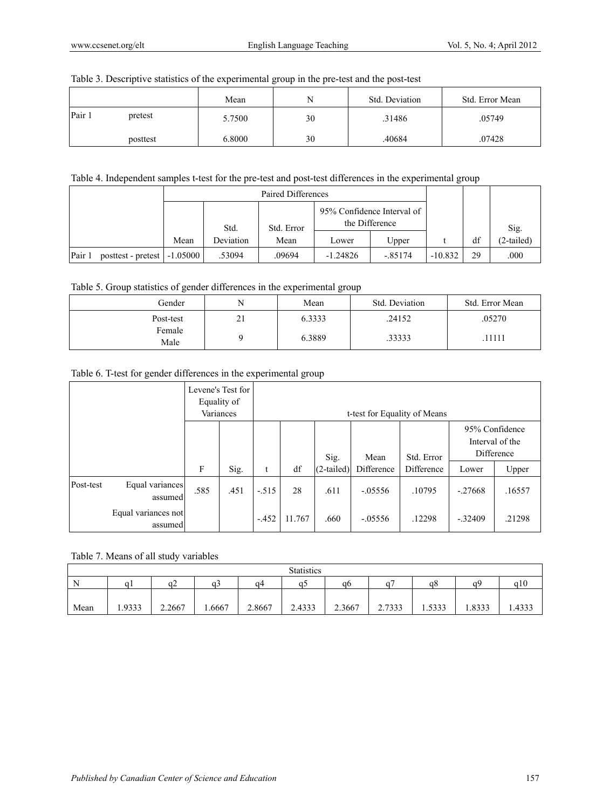## Table 3. Descriptive statistics of the experimental group in the pre-test and the post-test

|        |          | Mean   | N  | Std. Deviation | Std. Error Mean |
|--------|----------|--------|----|----------------|-----------------|
| Pair 1 | pretest  | 5.7500 | 30 | .31486         | .05749          |
|        | posttest | 6.8000 | 30 | .40684         | 07428           |

## Table 4. Independent samples t-test for the pre-test and post-test differences in the experimental group

|        |                               |      |           | Paired Differences |                                              |           |           |    |            |
|--------|-------------------------------|------|-----------|--------------------|----------------------------------------------|-----------|-----------|----|------------|
|        |                               |      | Std.      | Std. Error         | 95% Confidence Interval of<br>the Difference |           |           |    | Sig.       |
|        |                               | Mean | Deviation | Mean               | Lower                                        | Upper     |           | df | (2-tailed) |
| Pair 1 | posttest - pretest   -1.05000 |      | .53094    | .09694             | $-1.24826$                                   | $-.85174$ | $-10.832$ | 29 | .000       |

## Table 5. Group statistics of gender differences in the experimental group

| Gender         |    | Mean   | Std. Deviation | Std. Error Mean |
|----------------|----|--------|----------------|-----------------|
| Post-test      | 21 | 6.3333 | .24152         | 05270           |
| Female<br>Male |    | 6.3889 | .33333         | .11111          |

## Table 6. T-test for gender differences in the experimental group

|           |                                |      | Levene's Test for<br>Equality of<br>Variances |                                                                               |        |              |            | t-test for Equality of Means |           |        |
|-----------|--------------------------------|------|-----------------------------------------------|-------------------------------------------------------------------------------|--------|--------------|------------|------------------------------|-----------|--------|
|           |                                |      |                                               | 95% Confidence<br>Interval of the<br>Difference<br>Sig.<br>Std. Error<br>Mean |        |              |            |                              |           |        |
|           |                                | F    | Sig.                                          | t                                                                             | df     | $(2-tailed)$ | Difference | Difference                   | Lower     | Upper  |
| Post-test | Equal variances<br>assumed     | .585 | .451                                          | $-.515$                                                                       | 28     | .611         | $-.05556$  | .10795                       | $-.27668$ | .16557 |
|           | Equal variances not<br>assumed |      |                                               | $-452$                                                                        | 11.767 | .660         | $-.05556$  | .12298                       | $-.32409$ | .21298 |

## Table 7. Means of all study variables

|      | <b>Statistics</b> |        |        |        |        |        |        |        |        |        |  |  |  |
|------|-------------------|--------|--------|--------|--------|--------|--------|--------|--------|--------|--|--|--|
| N    | a l               | a2     | Œ      | α4     | ae     | ah     |        | a8     | aч     | a10    |  |  |  |
|      |                   |        |        |        |        |        |        |        |        |        |  |  |  |
| Mean | 1.9333            | 2.2667 | 1.6667 | 2.8667 | 2.4333 | 2.3667 | 2.7333 | 1.5333 | 1.8333 | 1.4333 |  |  |  |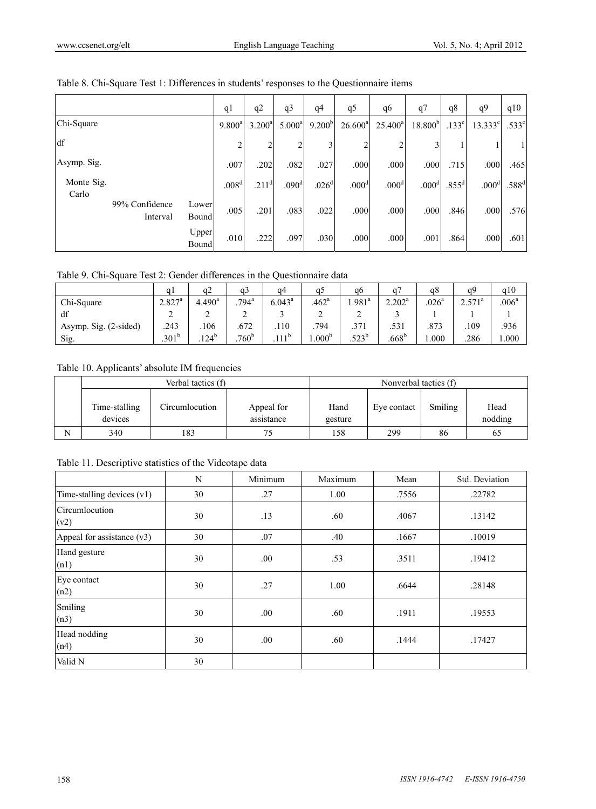|                     |                            |                | q1                | q2                | q <sub>3</sub>     | q4                 | q5                | q6                | q <sub>7</sub>      | q8                | q9                | q10               |
|---------------------|----------------------------|----------------|-------------------|-------------------|--------------------|--------------------|-------------------|-------------------|---------------------|-------------------|-------------------|-------------------|
| Chi-Square          |                            |                | $9.800^a$         | $3.200^a$         | 5.000 <sup>a</sup> | 9.200 <sup>b</sup> | $26.600^a$        | $25.400^a$        | 18.800 <sup>b</sup> | .133 <sup>c</sup> | 13.333c           | .533 <sup>c</sup> |
| df                  |                            |                |                   | 2                 |                    |                    |                   |                   | 3                   |                   |                   |                   |
| Asymp. Sig.         |                            |                | .007              | .202              | .082               | .027               | .000              | .000              | .000                | .715              | .000              | .465              |
| Monte Sig.<br>Carlo |                            |                | .008 <sup>d</sup> | .211 <sup>d</sup> | .090 <sup>d</sup>  | .026 <sup>d</sup>  | .000 <sup>d</sup> | .000 <sup>d</sup> | .000 <sup>d</sup>   | $.855^{d}$        | .000 <sup>d</sup> | .588 <sup>d</sup> |
|                     | 99% Confidence<br>Interval | Lower<br>Bound | .005              | .201              | .083               | .022               | .000              | .000              | .000                | .846              | .000              | .576              |
|                     |                            | Upper<br>Bound | .010              | .222              | .097               | .030               | .000              | .000              | .001                | .864              | .000              | .601              |

## Table 8. Chi-Square Test 1: Differences in students' responses to the Questionnaire items

Table 9. Chi-Square Test 2: Gender differences in the Questionnaire data

|                       | αı                | a2              | d.                | a4                   | c۵                | a6                | u.        | a8                | а9                 | q10               |
|-----------------------|-------------------|-----------------|-------------------|----------------------|-------------------|-------------------|-----------|-------------------|--------------------|-------------------|
| Chi-Square            | $2.827^a$         | $4.490^{\rm a}$ | $794^{\rm a}$     | $6.043^{\text{a}}$   | $.462^{\rm a}$    | .981 <sup>a</sup> | $2.202^a$ | .026 <sup>a</sup> | 2.571 <sup>a</sup> | .006 <sup>a</sup> |
| df                    | ∼                 | $\sim$<br>∼     | ∼                 |                      | ∽                 | ⌒<br>∼            |           |                   |                    |                   |
| Asymp. Sig. (2-sided) | .243              | .106            | .672              | .110                 | .794              | .371              | .531      | .873              | .109               | .936              |
| Sig.                  | .301 <sup>b</sup> | $.124^{b}$      | .760 <sup>b</sup> | 11 <sup>b</sup><br>. | .000 <sup>b</sup> | $.523^b$          | $.668^b$  | 000.1             | .286               | 000.1             |

## Table 10. Applicants' absolute IM frequencies

|   |                          | Verbal tactics (f) |                          | Nonverbal tactics (f) |             |         |                 |  |  |
|---|--------------------------|--------------------|--------------------------|-----------------------|-------------|---------|-----------------|--|--|
|   | Time-stalling<br>devices | Circumlocution     | Appeal for<br>assistance | Hand<br>gesture       | Eye contact | Smiling | Head<br>nodding |  |  |
| N | 340                      | 183                |                          | 158                   | 299         | 86      | 65              |  |  |

## Table 11. Descriptive statistics of the Videotape data

|                              | N  | Minimum | Maximum | Mean  | Std. Deviation |
|------------------------------|----|---------|---------|-------|----------------|
| Time-stalling devices $(v1)$ | 30 | .27     | 1.00    | .7556 | .22782         |
| Circumlocution<br>(v2)       | 30 | .13     | .60     | .4067 | .13142         |
| Appeal for assistance $(v3)$ | 30 | .07     | .40     | .1667 | .10019         |
| Hand gesture<br>(n1)         | 30 | .00.    | .53     | .3511 | .19412         |
| Eye contact<br>(n2)          | 30 | .27     | 1.00    | .6644 | .28148         |
| Smiling<br>(n3)              | 30 | .00.    | .60     | .1911 | .19553         |
| Head nodding<br>(n4)         | 30 | .00     | .60     | .1444 | .17427         |
| Valid N                      | 30 |         |         |       |                |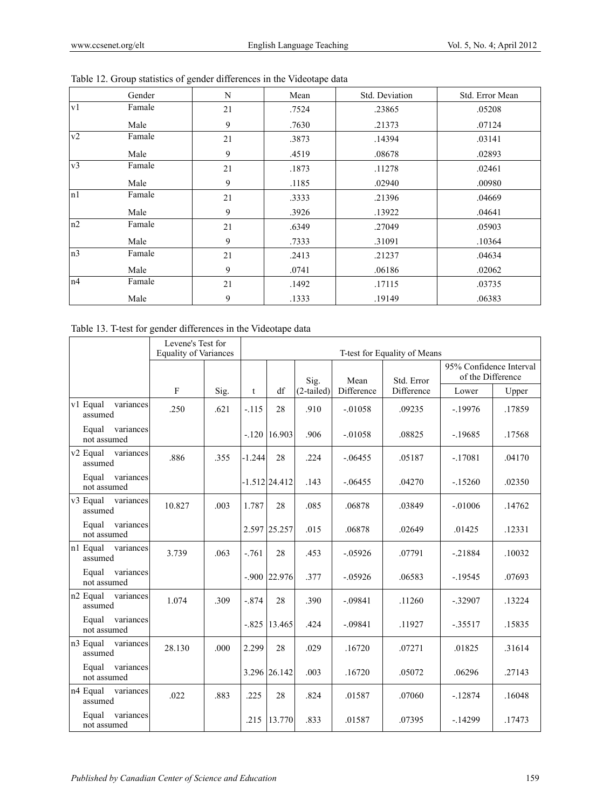|                | Gender | N  | Mean  | Std. Deviation | Std. Error Mean |
|----------------|--------|----|-------|----------------|-----------------|
| v1             | Famale | 21 | .7524 | .23865         | .05208          |
|                | Male   | 9  | .7630 | .21373         | .07124          |
| v2             | Famale | 21 | .3873 | .14394         | .03141          |
|                | Male   | 9  | .4519 | .08678         | .02893          |
| v3             | Famale | 21 | .1873 | .11278         | .02461          |
|                | Male   | 9  | .1185 | .02940         | .00980          |
| n1             | Famale | 21 | .3333 | .21396         | .04669          |
|                | Male   | 9  | .3926 | .13922         | .04641          |
| n2             | Famale | 21 | .6349 | .27049         | .05903          |
|                | Male   | 9  | .7333 | .31091         | .10364          |
| n <sub>3</sub> | Famale | 21 | .2413 | .21237         | .04634          |
|                | Male   | 9  | .0741 | .06186         | .02062          |
| n4             | Famale | 21 | .1492 | .17115         | .03735          |
|                | Male   | 9  | .1333 | .19149         | .06383          |

Table 12. Group statistics of gender differences in the Videotape data

Table 13. T-test for gender differences in the Videotape data

|                                              | Levene's Test for<br><b>Equality of Variances</b> |      | T-test for Equality of Means |                 |              |            |            |                                              |        |  |
|----------------------------------------------|---------------------------------------------------|------|------------------------------|-----------------|--------------|------------|------------|----------------------------------------------|--------|--|
|                                              |                                                   |      |                              |                 | Sig.         | Mean       | Std. Error | 95% Confidence Interval<br>of the Difference |        |  |
|                                              | $\mathbf F$                                       | Sig. | t                            | df              | $(2-tailed)$ | Difference | Difference | Lower                                        | Upper  |  |
| v1 Equal<br>variances<br>assumed             | .250                                              | .621 | $-.115$                      | 28              | .910         | $-.01058$  | .09235     | $-.19976$                                    | .17859 |  |
| Equal variances<br>not assumed               |                                                   |      |                              | $-120$ 16.903   | .906         | $-.01058$  | .08825     | $-19685$                                     | .17568 |  |
| v <sub>2</sub> Equal<br>variances<br>assumed | .886                                              | .355 | $-1.244$                     | 28              | .224         | $-.06455$  | .05187     | $-.17081$                                    | .04170 |  |
| variances<br>Equal<br>not assumed            |                                                   |      |                              | $-1.512$ 24.412 | .143         | $-.06455$  | .04270     | $-.15260$                                    | .02350 |  |
| v3 Equal<br>variances<br>assumed             | 10.827                                            | .003 | 1.787                        | 28              | .085         | .06878     | .03849     | $-.01006$                                    | .14762 |  |
| Equal variances<br>not assumed               |                                                   |      |                              | 2.597 25.257    | .015         | .06878     | .02649     | .01425                                       | .12331 |  |
| n1 Equal<br>variances<br>assumed             | 3.739                                             | .063 | $-761$                       | 28              | .453         | $-.05926$  | .07791     | $-.21884$                                    | .10032 |  |
| variances<br>Equal<br>not assumed            |                                                   |      |                              | $-900$ 22.976   | .377         | $-.05926$  | .06583     | $-19545$                                     | .07693 |  |
| n <sub>2</sub> Equal<br>variances<br>assumed | 1.074                                             | .309 | $-.874$                      | 28              | .390         | $-.09841$  | .11260     | $-.32907$                                    | .13224 |  |
| Equal<br>variances<br>not assumed            |                                                   |      |                              | $-0.825$ 13.465 | .424         | $-.09841$  | .11927     | $-.35517$                                    | .15835 |  |
| n3 Equal<br>variances<br>assumed             | 28.130                                            | .000 | 2.299                        | 28              | .029         | .16720     | .07271     | .01825                                       | 31614  |  |
| variances<br>Equal<br>not assumed            |                                                   |      |                              | 3.296 26.142    | .003         | .16720     | .05072     | .06296                                       | .27143 |  |
| n4 Equal<br>variances<br>assumed             | .022                                              | .883 | .225                         | 28              | .824         | .01587     | .07060     | $-.12874$                                    | .16048 |  |
| variances<br>Equal<br>not assumed            |                                                   |      | .215                         | 13.770          | .833         | .01587     | .07395     | $-.14299$                                    | .17473 |  |